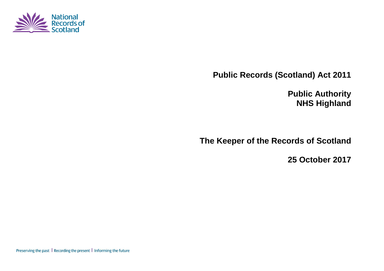

**Public Records (Scotland) Act 2011**

**Public Authority NHS Highland**

**The Keeper of the Records of Scotland**

**25 October 2017**

Preserving the past | Recording the present | Informing the future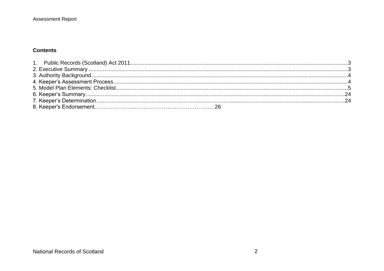#### **Contents**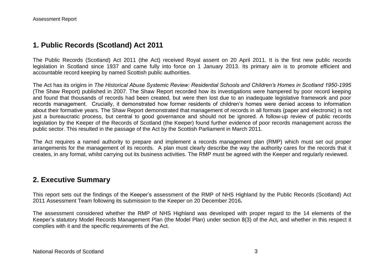### <span id="page-2-0"></span>**1. Public Records (Scotland) Act 2011**

The Public Records (Scotland) Act 2011 (the Act) received Royal assent on 20 April 2011. It is the first new public records legislation in Scotland since 1937 and came fully into force on 1 January 2013. Its primary aim is to promote efficient and accountable record keeping by named Scottish public authorities.

The Act has its origins in *The Historical Abuse Systemic Review: Residential Schools and Children's Homes in Scotland 1950-1995* (The Shaw Report) published in 2007. The Shaw Report recorded how its investigations were hampered by poor record keeping and found that thousands of records had been created, but were then lost due to an inadequate legislative framework and poor records management. Crucially, it demonstrated how former residents of children's homes were denied access to information about their formative years. The Shaw Report demonstrated that management of records in all formats (paper and electronic) is not just a bureaucratic process, but central to good governance and should not be ignored. A follow-up review of public records legislation by the Keeper of the Records of Scotland (the Keeper) found further evidence of poor records management across the public sector. This resulted in the passage of the Act by the Scottish Parliament in March 2011.

The Act requires a named authority to prepare and implement a records management plan (RMP) which must set out proper arrangements for the management of its records. A plan must clearly describe the way the authority cares for the records that it creates, in any format, whilst carrying out its business activities. The RMP must be agreed with the Keeper and regularly reviewed.

### <span id="page-2-1"></span>**2. Executive Summary**

This report sets out the findings of the Keeper's assessment of the RMP of NHS Highland by the Public Records (Scotland) Act 2011 Assessment Team following its submission to the Keeper on 20 December 2016*.*

The assessment considered whether the RMP of NHS Highland was developed with proper regard to the 14 elements of the Keeper's statutory Model Records Management Plan (the Model Plan) under section 8(3) of the Act, and whether in this respect it complies with it and the specific requirements of the Act.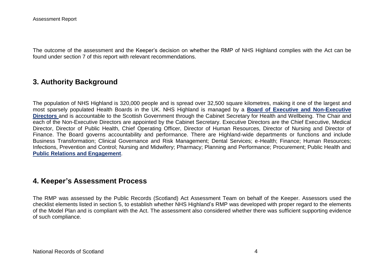The outcome of the assessment and the Keeper's decision on whether the RMP of NHS Highland complies with the Act can be found under section 7 of this report with relevant recommendations.

### <span id="page-3-0"></span>**3. Authority Background**

The population of NHS Highland is 320,000 people and is spread over 32,500 square kilometres, making it one of the largest and most sparsely populated Health Boards in the UK. NHS Highland is managed by a **[Board of Executive and Non-Executive](http://www.nhshighland.scot.nhs.uk/Meetings/Pages/NHSHighlandBoard.aspx)  [Directors](http://www.nhshighland.scot.nhs.uk/Meetings/Pages/NHSHighlandBoard.aspx)** and is accountable to the Scottish Government through the Cabinet Secretary for Health and Wellbeing. The Chair and each of the Non-Executive Directors are appointed by the Cabinet Secretary. Executive Directors are the Chief Executive, Medical Director, Director of Public Health, Chief Operating Officer, Director of Human Resources, Director of Nursing and Director of Finance. The Board governs accountability and performance. There are Highland-wide departments or functions and include Business Transformation; Clinical Governance and Risk Management; Dental Services; e-Health; Finance; Human Resources; Infections, Prevention and Control; Nursing and Midwifery; Pharmacy; Planning and Performance; Procurement; Public Health and **[Public Relations and Engagement](http://www.nhshighland.scot.nhs.uk/News/Pages/news.aspx)**.

### <span id="page-3-1"></span>**4. Keeper's Assessment Process**

The RMP was assessed by the Public Records (Scotland) Act Assessment Team on behalf of the Keeper. Assessors used the checklist elements listed in section 5, to establish whether NHS Highland's RMP was developed with proper regard to the elements of the Model Plan and is compliant with the Act. The assessment also considered whether there was sufficient supporting evidence of such compliance.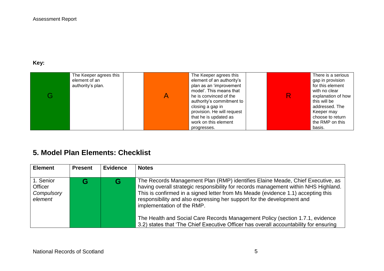### **Key:**

| The Keeper agrees this<br>element of an<br>authority's plan. | The Keeper agrees this<br>element of an authority's<br>plan as an 'improvement<br>model'. This means that<br>he is convinced of the<br>authority's commitment to<br>closing a gap in<br>provision. He will request<br>that he is updated as | There is a serious<br>gap in provision<br>for this element<br>with no clear<br>explanation of how<br>this will be<br>addressed. The<br>Keeper may<br>choose to return |
|--------------------------------------------------------------|---------------------------------------------------------------------------------------------------------------------------------------------------------------------------------------------------------------------------------------------|-----------------------------------------------------------------------------------------------------------------------------------------------------------------------|
|                                                              | work on this element<br>progresses.                                                                                                                                                                                                         | the RMP on this<br>basis.                                                                                                                                             |

# <span id="page-4-0"></span>**5. Model Plan Elements: Checklist**

| <b>Element</b>                                       | <b>Present</b> | <b>Evidence</b> | <b>Notes</b>                                                                                                                                                                                                                                                                                                                                                                                                                                                                                                                                |
|------------------------------------------------------|----------------|-----------------|---------------------------------------------------------------------------------------------------------------------------------------------------------------------------------------------------------------------------------------------------------------------------------------------------------------------------------------------------------------------------------------------------------------------------------------------------------------------------------------------------------------------------------------------|
| 1. Senior<br><b>Officer</b><br>Compulsory<br>element |                |                 | The Records Management Plan (RMP) identifies Elaine Meade, Chief Executive, as<br>having overall strategic responsibility for records management within NHS Highland.<br>This is confirmed in a signed letter from Ms Meade (evidence 1.1) accepting this<br>responsibility and also expressing her support for the development and<br>implementation of the RMP.<br>The Health and Social Care Records Management Policy (section 1.7.1, evidence<br>3.2) states that 'The Chief Executive Officer has overall accountability for ensuring |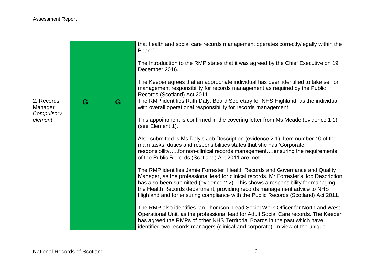|                                     |   |   | that health and social care records management operates correctly/legally within the<br>Board'.                                                                                                                                                                                                                                                                                                                               |
|-------------------------------------|---|---|-------------------------------------------------------------------------------------------------------------------------------------------------------------------------------------------------------------------------------------------------------------------------------------------------------------------------------------------------------------------------------------------------------------------------------|
|                                     |   |   | The Introduction to the RMP states that it was agreed by the Chief Executive on 19<br>December 2016.                                                                                                                                                                                                                                                                                                                          |
|                                     |   |   | The Keeper agrees that an appropriate individual has been identified to take senior<br>management responsibility for records management as required by the Public<br>Records (Scotland) Act 2011.                                                                                                                                                                                                                             |
| 2. Records<br>Manager<br>Compulsory | G | G | The RMP identifies Ruth Daly, Board Secretary for NHS Highland, as the individual<br>with overall operational responsibility for records management.                                                                                                                                                                                                                                                                          |
| element                             |   |   | This appointment is confirmed in the covering letter from Ms Meade (evidence 1.1)<br>(see Element 1).                                                                                                                                                                                                                                                                                                                         |
|                                     |   |   | Also submitted is Ms Daly's Job Description (evidence 2.1). Item number 10 of the<br>main tasks, duties and responsibilities states that she has 'Corporate<br>responsibilityfor non-clinical records managementensuring the requirements<br>of the Public Records (Scotland) Act 2011 are met.                                                                                                                               |
|                                     |   |   | The RMP identifies Jamie Forrester, Health Records and Governance and Quality<br>Manager, as the professional lead for clinical records. Mr Forrester's Job Description<br>has also been submitted (evidence 2.2). This shows a responsibility for managing<br>the Health Records department, providing records management advice to NHS<br>Highland and for ensuring compliance with the Public Records (Scotland) Act 2011. |
|                                     |   |   | The RMP also identifies Ian Thomson, Lead Social Work Officer for North and West<br>Operational Unit, as the professional lead for Adult Social Care records. The Keeper<br>has agreed the RMPs of other NHS Territorial Boards in the past which have<br>identified two records managers (clinical and corporate). In view of the unique                                                                                     |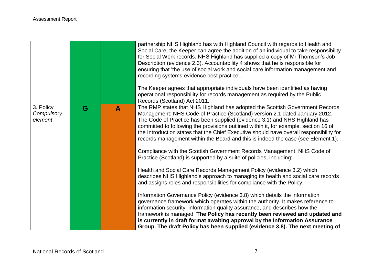|                                    |   |   | partnership NHS Highland has with Highland Council with regards to Health and<br>Social Care, the Keeper can agree the addition of an individual to take responsibility<br>for Social Work records. NHS Highland has supplied a copy of Mr Thomson's Job<br>Description (evidence 2.3). Accountability 4 shows that he is responsible for<br>ensuring that 'the use of social work and social care information management and<br>recording systems evidence best practice'.<br>The Keeper agrees that appropriate individuals have been identified as having<br>operational responsibility for records management as required by the Public                                                                                                                                                                                                                                                                                                                                                                                                                                                                                                                                                                                                                                                                            |
|------------------------------------|---|---|------------------------------------------------------------------------------------------------------------------------------------------------------------------------------------------------------------------------------------------------------------------------------------------------------------------------------------------------------------------------------------------------------------------------------------------------------------------------------------------------------------------------------------------------------------------------------------------------------------------------------------------------------------------------------------------------------------------------------------------------------------------------------------------------------------------------------------------------------------------------------------------------------------------------------------------------------------------------------------------------------------------------------------------------------------------------------------------------------------------------------------------------------------------------------------------------------------------------------------------------------------------------------------------------------------------------|
|                                    |   |   | Records (Scotland) Act 2011.                                                                                                                                                                                                                                                                                                                                                                                                                                                                                                                                                                                                                                                                                                                                                                                                                                                                                                                                                                                                                                                                                                                                                                                                                                                                                           |
| 3. Policy<br>Compulsory<br>element | G | A | The RMP states that NHS Highland has adopted the Scottish Government Records<br>Management: NHS Code of Practice (Scotland) version 2.1 dated January 2012.<br>The Code of Practice has been supplied (evidence 3.1) and NHS Highland has<br>committed to following the provisions outlined within it, for example, section 16 of<br>the Introduction states that the Chief Executive should have overall responsibility for<br>records management within the Board and this is indeed the case (see Element 1).<br>Compliance with the Scottish Government Records Management: NHS Code of<br>Practice (Scotland) is supported by a suite of policies, including:<br>Health and Social Care Records Management Policy (evidence 3.2) which<br>describes NHS Highland's approach to managing its health and social care records<br>and assigns roles and responsibilities for compliance with the Policy;<br>Information Governance Policy (evidence 3.8) which details the information<br>governance framework which operates within the authority. It makes reference to<br>information security, information quality assurance, and describes how the<br>framework is managed. The Policy has recently been reviewed and updated and<br>is currently in draft format awaiting approval by the Information Assurance |
|                                    |   |   | Group. The draft Policy has been supplied (evidence 3.8). The next meeting of                                                                                                                                                                                                                                                                                                                                                                                                                                                                                                                                                                                                                                                                                                                                                                                                                                                                                                                                                                                                                                                                                                                                                                                                                                          |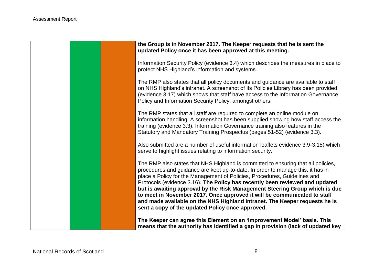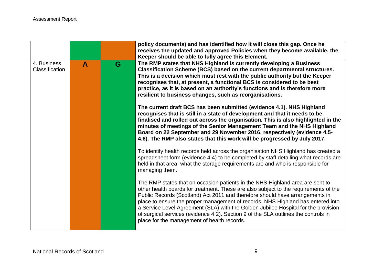|                               |   |   | policy documents) and has identified how it will close this gap. Once he<br>receives the updated and approved Policies when they become available, the<br>Keeper should be able to fully agree this Element.                                                                                                                                                                                                                                                                                                                                                        |
|-------------------------------|---|---|---------------------------------------------------------------------------------------------------------------------------------------------------------------------------------------------------------------------------------------------------------------------------------------------------------------------------------------------------------------------------------------------------------------------------------------------------------------------------------------------------------------------------------------------------------------------|
| 4. Business<br>Classification | A | G | The RMP states that NHS Highland is currently developing a Business<br>Classification Scheme (BCS) based on the current departmental structures.<br>This is a decision which must rest with the public authority but the Keeper<br>recognises that, at present, a functional BCS is considered to be best<br>practice, as it is based on an authority's functions and is therefore more<br>resilient to business changes, such as reorganisations.                                                                                                                  |
|                               |   |   | The current draft BCS has been submitted (evidence 4.1). NHS Highland<br>recognises that is still in a state of development and that it needs to be<br>finalised and rolled out across the organisation. This is also highlighted in the<br>minutes of meetings of the Senior Management Team and the NHS Highland<br>Board on 22 September and 29 November 2016, respectively (evidence 4.5-<br>4.6). The RMP also states that this work will be progressed by July 2017.                                                                                          |
|                               |   |   | To identify health records held across the organisation NHS Highland has created a<br>spreadsheet form (evidence 4.4) to be completed by staff detailing what records are<br>held in that area, what the storage requirements are and who is responsible for<br>managing them.                                                                                                                                                                                                                                                                                      |
|                               |   |   | The RMP states that on occasion patients in the NHS Highland area are sent to<br>other health boards for treatment. These are also subject to the requirements of the<br>Public Records (Scotland) Act 2011 and therefore should have arrangements in<br>place to ensure the proper management of records. NHS Highland has entered into<br>a Service Level Agreement (SLA) with the Golden Jubilee Hospital for the provision<br>of surgical services (evidence 4.2). Section 9 of the SLA outlines the controls in<br>place for the management of health records. |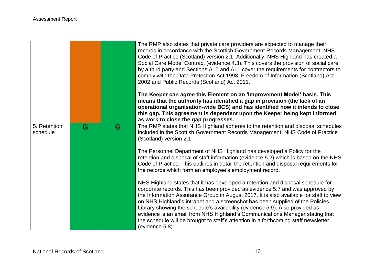|                          |   |   | The RMP also states that private care providers are expected to manage their<br>records in accordance with the Scottish Government Records Management: NHS<br>Code of Practice (Scotland) version 2.1. Additionally, NHS Highland has created a<br>Social Care Model Contract (evidence 4.3). This covers the provision of social care<br>by a third party and Sections A10 and A11 cover the requirements for contractors to<br>comply with the Data Protection Act 1998, Freedom of Information (Scotland) Act<br>2002 and Public Records (Scotland) Act 2011.                                                      |
|--------------------------|---|---|-----------------------------------------------------------------------------------------------------------------------------------------------------------------------------------------------------------------------------------------------------------------------------------------------------------------------------------------------------------------------------------------------------------------------------------------------------------------------------------------------------------------------------------------------------------------------------------------------------------------------|
|                          |   |   | The Keeper can agree this Element on an 'Improvement Model' basis. This<br>means that the authority has identified a gap in provision (the lack of an<br>operational organisation-wide BCS) and has identified how it intends to close<br>this gap. This agreement is dependent upon the Keeper being kept informed<br>as work to close the gap progresses.                                                                                                                                                                                                                                                           |
| 5. Retention<br>schedule | G | G | The RMP states that NHS Highland adheres to the retention and disposal schedules<br>included in the Scottish Government Records Management: NHS Code of Practice<br>(Scotland) version 2.1.                                                                                                                                                                                                                                                                                                                                                                                                                           |
|                          |   |   | The Personnel Department of NHS Highland has developed a Policy for the<br>retention and disposal of staff information (evidence 5.2) which is based on the NHS<br>Code of Practice. This outlines in detail the retention and disposal requirements for<br>the records which form an employee's employment record.                                                                                                                                                                                                                                                                                                   |
|                          |   |   | NHS Highland states that it has developed a retention and disposal schedule for<br>corporate records. This has been provided as evidence 5.7 and was approved by<br>the Information Assurance Group in August 2017. It is also available for staff to view<br>on NHS Highland's intranet and a screenshot has been supplied of the Policies<br>Library showing the schedule's availability (evidence 5.9). Also provided as<br>evidence is an email from NHS Highland's Communications Manager stating that<br>the schedule will be brought to staff's attention in a forthcoming staff newsletter<br>(evidence 5.8). |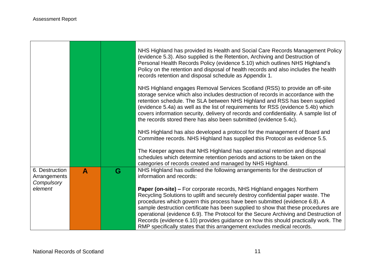$\blacksquare$ 

|                                              |   |   | NHS Highland has provided its Health and Social Care Records Management Policy<br>(evidence 5.3). Also supplied is the Retention, Archiving and Destruction of<br>Personal Health Records Policy (evidence 5.10) which outlines NHS Highland's<br>Policy on the retention and disposal of health records and also includes the health<br>records retention and disposal schedule as Appendix 1.                                                                                                                                                                                                |
|----------------------------------------------|---|---|------------------------------------------------------------------------------------------------------------------------------------------------------------------------------------------------------------------------------------------------------------------------------------------------------------------------------------------------------------------------------------------------------------------------------------------------------------------------------------------------------------------------------------------------------------------------------------------------|
|                                              |   |   | NHS Highland engages Removal Services Scotland (RSS) to provide an off-site<br>storage service which also includes destruction of records in accordance with the<br>retention schedule. The SLA between NHS Highland and RSS has been supplied<br>(evidence 5.4a) as well as the list of requirements for RSS (evidence 5.4b) which<br>covers information security, delivery of records and confidentiality. A sample list of<br>the records stored there has also been submitted (evidence 5.4c).                                                                                             |
|                                              |   |   | NHS Highland has also developed a protocol for the management of Board and<br>Committee records. NHS Highland has supplied this Protocol as evidence 5.5.                                                                                                                                                                                                                                                                                                                                                                                                                                      |
|                                              |   |   | The Keeper agrees that NHS Highland has operational retention and disposal<br>schedules which determine retention periods and actions to be taken on the<br>categories of records created and managed by NHS Highland.                                                                                                                                                                                                                                                                                                                                                                         |
| 6. Destruction<br>Arrangements<br>Compulsory | A | G | NHS Highland has outlined the following arrangements for the destruction of<br>information and records:                                                                                                                                                                                                                                                                                                                                                                                                                                                                                        |
| element                                      |   |   | <b>Paper (on-site) – For corporate records, NHS Highland engages Northern</b><br>Recycling Solutions to uplift and securely destroy confidential paper waste. The<br>procedures which govern this process have been submitted (evidence 6.8). A<br>sample destruction certificate has been supplied to show that these procedures are<br>operational (evidence 6.9). The Protocol for the Secure Archiving and Destruction of<br>Records (evidence 6.10) provides guidance on how this should practically work. The<br>RMP specifically states that this arrangement excludes medical records. |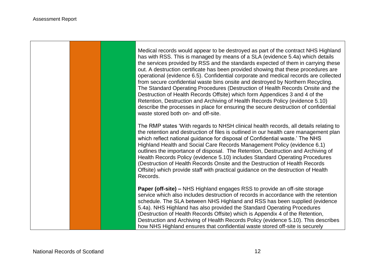Medical records would appear to be destroyed as part of the contract NHS Highland has with RSS. This is managed by means of a SLA (evidence 5.4a) which details the services provided by RSS and the standards expected of them in carrying these out. A destruction certificate has been provided showing that these procedures are operational (evidence 6.5). Confidential corporate and medical records are collected from secure confidential waste bins onsite and destroyed by Northern Recycling. The Standard Operating Procedures (Destruction of Health Records Onsite and the Destruction of Health Records Offsite) which form Appendices 3 and 4 of the Retention, Destruction and Archiving of Health Records Policy (evidence 5.10) describe the processes in place for ensuring the secure destruction of confidential waste stored both on- and off-site.

The RMP states 'With regards to NHSH clinical health records, all details relating to the retention and destruction of files is outlined in our health care management plan which reflect national guidance for disposal of Confidential waste.' The NHS Highland Health and Social Care Records Management Policy (evidence 6.1) outlines the importance of disposal. The Retention, Destruction and Archiving of Health Records Policy (evidence 5.10) includes Standard Operating Procedures (Destruction of Health Records Onsite and the Destruction of Health Records Offsite) which provide staff with practical guidance on the destruction of Health Records.

**Paper (off-site) –** NHS Highland engages RSS to provide an off-site storage service which also includes destruction of records in accordance with the retention schedule. The SLA between NHS Highland and RSS has been supplied (evidence 5.4a). NHS Highland has also provided the Standard Operating Procedures (Destruction of Health Records Offsite) which is Appendix 4 of the Retention, Destruction and Archiving of Health Records Policy (evidence 5.10). This describes how NHS Highland ensures that confidential waste stored off-site is securely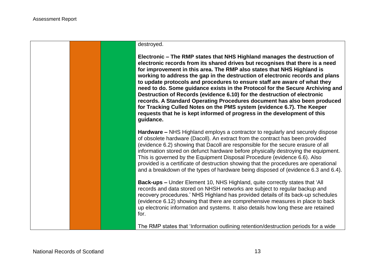

**Electronic – The RMP states that NHS Highland manages the destruction of electronic records from its shared drives but recognises that there is a need for improvement in this area. The RMP also states that NHS Highland is working to address the gap in the destruction of electronic records and plans to update protocols and procedures to ensure staff are aware of what they need to do. Some guidance exists in the Protocol for the Secure Archiving and Destruction of Records (evidence 6.10) for the destruction of electronic records. A Standard Operating Procedures document has also been produced for Tracking Culled Notes on the PMS system (evidence 6.7). The Keeper requests that he is kept informed of progress in the development of this guidance.**

**Hardware –** NHS Highland employs a contractor to regularly and securely dispose of obsolete hardware (Dacoll). An extract from the contract has been provided (evidence 6.2) showing that Dacoll are responsible for the secure erasure of all information stored on defunct hardware before physically destroying the equipment. This is governed by the Equipment Disposal Procedure (evidence 6.6). Also provided is a certificate of destruction showing that the procedures are operational and a breakdown of the types of hardware being disposed of (evidence 6.3 and 6.4).

**Back-ups –** Under Element 10, NHS Highland, quite correctly states that 'All records and data stored on NHSH networks are subject to regular backup and recovery procedures.' NHS Highland has provided details of its back-up schedules (evidence 6.12) showing that there are comprehensive measures in place to back up electronic information and systems. It also details how long these are retained for.

The RMP states that 'Information outlining retention/destruction periods for a wide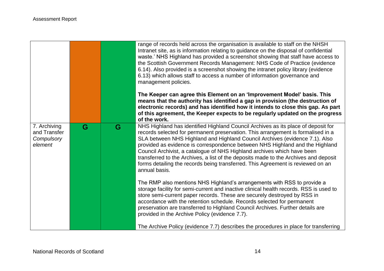|                                                       |   |   | range of records held across the organisation is available to staff on the NHSH<br>Intranet site, as is information relating to guidance on the disposal of confidential<br>waste.' NHS Highland has provided a screenshot showing that staff have access to<br>the Scottish Government Records Management: NHS Code of Practice (evidence<br>6.14). Also provided is a screenshot showing the intranet policy library (evidence<br>6.13) which allows staff to access a number of information governance and<br>management policies.<br>The Keeper can agree this Element on an 'Improvement Model' basis. This<br>means that the authority has identified a gap in provision (the destruction of<br>electronic records) and has identified how it intends to close this gap. As part<br>of this agreement, the Keeper expects to be regularly updated on the progress<br>of the work. |
|-------------------------------------------------------|---|---|-----------------------------------------------------------------------------------------------------------------------------------------------------------------------------------------------------------------------------------------------------------------------------------------------------------------------------------------------------------------------------------------------------------------------------------------------------------------------------------------------------------------------------------------------------------------------------------------------------------------------------------------------------------------------------------------------------------------------------------------------------------------------------------------------------------------------------------------------------------------------------------------|
| 7. Archiving<br>and Transfer<br>Compulsory<br>element | G | G | NHS Highland has identified Highland Council Archives as its place of deposit for<br>records selected for permanent preservation. This arrangement is formalised in a<br>SLA between NHS Highland and Highland Council Archives (evidence 7.1). Also<br>provided as evidence is correspondence between NHS Highland and the Highland<br>Council Archivist, a catalogue of NHS Highland archives which have been<br>transferred to the Archives, a list of the deposits made to the Archives and deposit<br>forms detailing the records being transferred. This Agreement is reviewed on an<br>annual basis.                                                                                                                                                                                                                                                                             |
|                                                       |   |   | The RMP also mentions NHS Highland's arrangements with RSS to provide a<br>storage facility for semi-current and inactive clinical health records. RSS is used to<br>store semi-current paper records. These are securely destroyed by RSS in<br>accordance with the retention schedule. Records selected for permanent<br>preservation are transferred to Highland Council Archives. Further details are<br>provided in the Archive Policy (evidence 7.7).<br>The Archive Policy (evidence 7.7) describes the procedures in place for transferring                                                                                                                                                                                                                                                                                                                                     |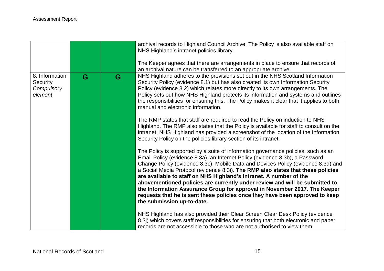|                                                     |   |   | archival records to Highland Council Archive. The Policy is also available staff on<br>NHS Highland's intranet policies library.                                                                                                                                                                                                                                                                                                                                                                                                                                                                                                                                                           |
|-----------------------------------------------------|---|---|--------------------------------------------------------------------------------------------------------------------------------------------------------------------------------------------------------------------------------------------------------------------------------------------------------------------------------------------------------------------------------------------------------------------------------------------------------------------------------------------------------------------------------------------------------------------------------------------------------------------------------------------------------------------------------------------|
|                                                     |   |   | The Keeper agrees that there are arrangements in place to ensure that records of<br>an archival nature can be transferred to an appropriate archive.                                                                                                                                                                                                                                                                                                                                                                                                                                                                                                                                       |
| 8. Information<br>Security<br>Compulsory<br>element | G | G | NHS Highland adheres to the provisions set out in the NHS Scotland Information<br>Security Policy (evidence 8.1) but has also created its own Information Security<br>Policy (evidence 8.2) which relates more directly to its own arrangements. The<br>Policy sets out how NHS Highland protects its information and systems and outlines<br>the responsibilities for ensuring this. The Policy makes it clear that it applies to both<br>manual and electronic information.                                                                                                                                                                                                              |
|                                                     |   |   | The RMP states that staff are required to read the Policy on induction to NHS<br>Highland. The RMP also states that the Policy is available for staff to consult on the<br>intranet. NHS Highland has provided a screenshot of the location of the Information<br>Security Policy on the policies library section of its intranet.                                                                                                                                                                                                                                                                                                                                                         |
|                                                     |   |   | The Policy is supported by a suite of information governance policies, such as an<br>Email Policy (evidence 8.3a), an Internet Policy (evidence 8.3b), a Password<br>Change Policy (evidence 8.3c), Mobile Data and Devices Policy (evidence 8.3d) and<br>a Social Media Protocol (evidence 8.3i). The RMP also states that these policies<br>are available to staff on NHS Highland's intranet. A number of the<br>abovementioned policies are currently under review and will be submitted to<br>the Information Assurance Group for approval in November 2017. The Keeper<br>requests that he is sent these policies once they have been approved to keep<br>the submission up-to-date. |
|                                                     |   |   | NHS Highland has also provided their Clear Screen Clear Desk Policy (evidence<br>8.3j) which covers staff responsibilities for ensuring that both electronic and paper<br>records are not accessible to those who are not authorised to view them.                                                                                                                                                                                                                                                                                                                                                                                                                                         |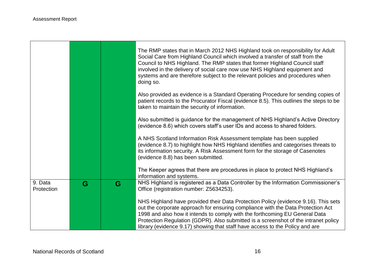$\Gamma$ 

|                       |   |   | The RMP states that in March 2012 NHS Highland took on responsibility for Adult<br>Social Care from Highland Council which involved a transfer of staff from the<br>Council to NHS Highland. The RMP states that former Highland Council staff<br>involved in the delivery of social care now use NHS Highland equipment and<br>systems and are therefore subject to the relevant policies and procedures when<br>doing so. |
|-----------------------|---|---|-----------------------------------------------------------------------------------------------------------------------------------------------------------------------------------------------------------------------------------------------------------------------------------------------------------------------------------------------------------------------------------------------------------------------------|
|                       |   |   | Also provided as evidence is a Standard Operating Procedure for sending copies of<br>patient records to the Procurator Fiscal (evidence 8.5). This outlines the steps to be<br>taken to maintain the security of information.                                                                                                                                                                                               |
|                       |   |   | Also submitted is guidance for the management of NHS Highland's Active Directory<br>(evidence 8.6) which covers staff's user IDs and access to shared folders.                                                                                                                                                                                                                                                              |
|                       |   |   | A NHS Scotland Information Risk Assessment template has been supplied<br>(evidence 8.7) to highlight how NHS Highland identifies and categorises threats to<br>its information security. A Risk Assessment form for the storage of Casenotes<br>(evidence 8.8) has been submitted.                                                                                                                                          |
|                       |   |   | The Keeper agrees that there are procedures in place to protect NHS Highland's<br>information and systems.                                                                                                                                                                                                                                                                                                                  |
| 9. Data<br>Protection | G | G | NHS Highland is registered as a Data Controller by the Information Commissioner's<br>Office (registration number: Z5634253).                                                                                                                                                                                                                                                                                                |
|                       |   |   | NHS Highland have provided their Data Protection Policy (evidence 9.16). This sets<br>out the corporate approach for ensuring compliance with the Data Protection Act<br>1998 and also how it intends to comply with the forthcoming EU General Data<br>Protection Regulation (GDPR). Also submitted is a screenshot of the intranet policy<br>library (evidence 9.17) showing that staff have access to the Policy and are |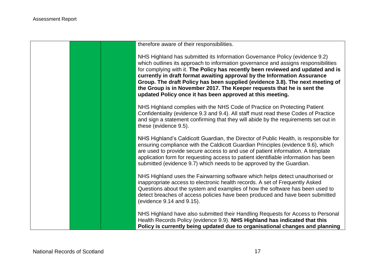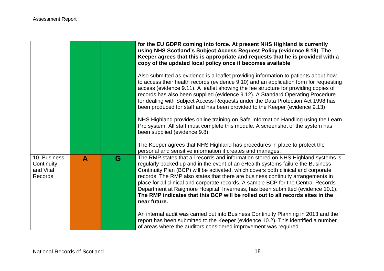|                                                    |   |   | for the EU GDPR coming into force. At present NHS Highland is currently<br>using NHS Scotland's Subject Access Request Policy (evidence 9.18). The<br>Keeper agrees that this is appropriate and requests that he is provided with a<br>copy of the updated local policy once it becomes available                                                                                                                                                                                                                                                                                                                      |
|----------------------------------------------------|---|---|-------------------------------------------------------------------------------------------------------------------------------------------------------------------------------------------------------------------------------------------------------------------------------------------------------------------------------------------------------------------------------------------------------------------------------------------------------------------------------------------------------------------------------------------------------------------------------------------------------------------------|
|                                                    |   |   | Also submitted as evidence is a leaflet providing information to patients about how<br>to access their health records (evidence 9.10) and an application form for requesting<br>access (evidence 9.11). A leaflet showing the fee structure for providing copies of<br>records has also been supplied (evidence 9.12). A Standard Operating Procedure<br>for dealing with Subject Access Requests under the Data Protection Act 1998 has<br>been produced for staff and has been provided to the Keeper (evidence 9.13)                                                                                                 |
|                                                    |   |   | NHS Highland provides online training on Safe Information Handling using the Learn<br>Pro system. All staff must complete this module. A screenshot of the system has<br>been supplied (evidence 9.8).                                                                                                                                                                                                                                                                                                                                                                                                                  |
|                                                    |   |   | The Keeper agrees that NHS Highland has procedures in place to protect the<br>personal and sensitive information it creates and manages.                                                                                                                                                                                                                                                                                                                                                                                                                                                                                |
| 10. Business<br>Continuity<br>and Vital<br>Records | A | G | The RMP states that all records and information stored on NHS Highland systems is<br>regularly backed up and in the event of an eHealth systems failure the Business<br>Continuity Plan (BCP) will be activated, which covers both clinical and corporate<br>records. The RMP also states that there are business continuity arrangements in<br>place for all clinical and corporate records. A sample BCP for the Central Records<br>Department at Raigmore Hospital, Inverness, has been submitted (evidence 10.1).<br>The RMP indicates that this BCP will be rolled out to all records sites in the<br>near future. |
|                                                    |   |   | An internal audit was carried out into Business Continuity Planning in 2013 and the<br>report has been submitted to the Keeper (evidence 10.2). This identified a number<br>of areas where the auditors considered improvement was required.                                                                                                                                                                                                                                                                                                                                                                            |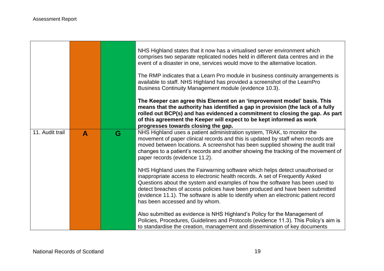|                 |              |   | NHS Highland states that it now has a virtualised server environment which<br>comprises two separate replicated nodes held in different data centres and in the<br>event of a disaster in one, services would move to the alternative location.                                                                                                                                                                                                         |
|-----------------|--------------|---|---------------------------------------------------------------------------------------------------------------------------------------------------------------------------------------------------------------------------------------------------------------------------------------------------------------------------------------------------------------------------------------------------------------------------------------------------------|
|                 |              |   | The RMP indicates that a Learn Pro module in business continuity arrangements is<br>available to staff. NHS Highland has provided a screenshot of the LearnPro<br>Business Continuity Management module (evidence 10.3).                                                                                                                                                                                                                                |
|                 |              |   | The Keeper can agree this Element on an 'improvement model' basis. This<br>means that the authority has identified a gap in provision (the lack of a fully<br>rolled out BCP(s) and has evidenced a commitment to closing the gap. As part<br>of this agreement the Keeper will expect to be kept informed as work<br>progresses towards closing the gap.                                                                                               |
| 11. Audit trail | $\mathbf{A}$ | G | NHS Highland uses a patient administration system, TRAK, to monitor the<br>movement of paper clinical records and this is updated by staff when records are<br>moved between locations. A screenshot has been supplied showing the audit trail<br>changes to a patient's records and another showing the tracking of the movement of<br>paper records (evidence 11.2).                                                                                  |
|                 |              |   | NHS Highland uses the Fairwarning software which helps detect unauthorised or<br>inappropriate access to electronic health records. A set of Frequently Asked<br>Questions about the system and examples of how the software has been used to<br>detect breaches of access policies have been produced and have been submitted<br>(evidence 11.1). The software is able to identify when an electronic patient record<br>has been accessed and by whom. |
|                 |              |   | Also submitted as evidence is NHS Highland's Policy for the Management of<br>Policies, Procedures, Guidelines and Protocols (evidence 11.3). This Policy's aim is<br>to standardise the creation, management and dissemination of key documents                                                                                                                                                                                                         |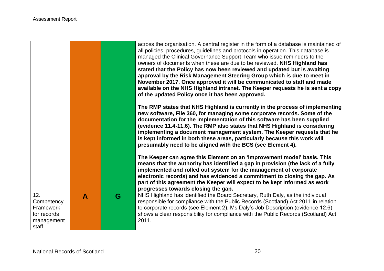|                                                                      |                  |   | across the organisation. A central register in the form of a database is maintained of<br>all policies, procedures, guidelines and protocols in operation. This database is<br>managed the Clinical Governance Support Team who issue reminders to the<br>owners of documents when these are due to be reviewed. NHS Highland has<br>stated that the Policy has now been reviewed and updated but is awaiting<br>approval by the Risk Management Steering Group which is due to meet in<br>November 2017. Once approved it will be communicated to staff and made<br>available on the NHS Highland intranet. The Keeper requests he is sent a copy<br>of the updated Policy once it has been approved.<br>The RMP states that NHS Highland is currently in the process of implementing<br>new software, File 360, for managing some corporate records. Some of the<br>documentation for the implementation of this software has been supplied<br>(evidence 11.4-11.6). The RMP also states that NHS Highland is considering<br>implementing a document management system. The Keeper requests that he<br>is kept informed in both these areas, particularly because this work will<br>presumably need to be aligned with the BCS (see Element 4).<br>The Keeper can agree this Element on an 'improvement model' basis. This<br>means that the authority has identified a gap in provision (the lack of a fully<br>implemented and rolled out system for the management of corporate<br>electronic records) and has evidenced a commitment to closing the gap. As<br>part of this agreement the Keeper will expect to be kept informed as work<br>progresses towards closing the gap. |
|----------------------------------------------------------------------|------------------|---|---------------------------------------------------------------------------------------------------------------------------------------------------------------------------------------------------------------------------------------------------------------------------------------------------------------------------------------------------------------------------------------------------------------------------------------------------------------------------------------------------------------------------------------------------------------------------------------------------------------------------------------------------------------------------------------------------------------------------------------------------------------------------------------------------------------------------------------------------------------------------------------------------------------------------------------------------------------------------------------------------------------------------------------------------------------------------------------------------------------------------------------------------------------------------------------------------------------------------------------------------------------------------------------------------------------------------------------------------------------------------------------------------------------------------------------------------------------------------------------------------------------------------------------------------------------------------------------------------------------------------------------------------------------------------------------|
| 12.<br>Competency<br>Framework<br>for records<br>management<br>staff | $\blacktriangle$ | G | NHS Highland has identified the Board Secretary, Ruth Daly, as the individual<br>responsible for compliance with the Public Records (Scotland) Act 2011 in relation<br>to corporate records (see Element 2). Ms Daly's Job Description (evidence 12.6)<br>shows a clear responsibility for compliance with the Public Records (Scotland) Act<br>2011.                                                                                                                                                                                                                                                                                                                                                                                                                                                                                                                                                                                                                                                                                                                                                                                                                                                                                                                                                                                                                                                                                                                                                                                                                                                                                                                                 |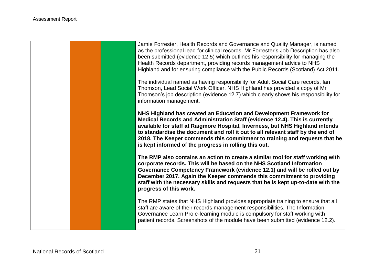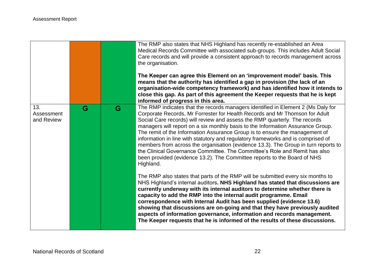|                                 |   |   | The RMP also states that NHS Highland has recently re-established an Area<br>Medical Records Committee with associated sub-groups. This includes Adult Social<br>Care records and will provide a consistent approach to records management across<br>the organisation.<br>The Keeper can agree this Element on an 'improvement model' basis. This<br>means that the authority has identified a gap in provision (the lack of an<br>organisation-wide competency framework) and has identified how it intends to<br>close this gap. As part of this agreement the Keeper requests that he is kept<br>informed of progress in this area.                                                                                                                           |
|---------------------------------|---|---|------------------------------------------------------------------------------------------------------------------------------------------------------------------------------------------------------------------------------------------------------------------------------------------------------------------------------------------------------------------------------------------------------------------------------------------------------------------------------------------------------------------------------------------------------------------------------------------------------------------------------------------------------------------------------------------------------------------------------------------------------------------|
| 13.<br>Assessment<br>and Review | G | G | The RMP indicates that the records managers identified in Element 2 (Ms Daly for<br>Corporate Records, Mr Forrester for Health Records and Mr Thomson for Adult<br>Social Care records) will review and assess the RMP quarterly. The records<br>managers will report on a six monthly basis to the Information Assurance Group.<br>The remit of the Information Assurance Group is to ensure the management of<br>information in line with statutory and regulatory frameworks and is comprised of<br>members from across the organisation (evidence 13.3). The Group in turn reports to<br>the Clinical Governance Committee. The Committee's Role and Remit has also<br>been provided (evidence 13.2). The Committee reports to the Board of NHS<br>Highland. |
|                                 |   |   | The RMP also states that parts of the RMP will be submitted every six months to<br>NHS Highland's internal auditors. NHS Highland has stated that discussions are<br>currently underway with its internal auditors to determine whether there is<br>capacity to add the RMP into the internal audit programme. Email<br>correspondence with Internal Audit has been supplied (evidence 13.6)<br>showing that discussions are on-going and that they have previously audited<br>aspects of information governance, information and records management.<br>The Keeper requests that he is informed of the results of these discussions.                                                                                                                            |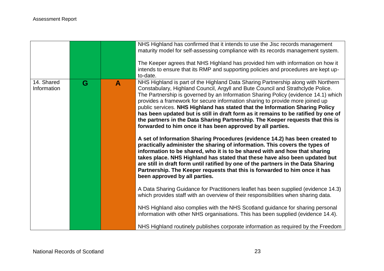|                           |   |   | NHS Highland has confirmed that it intends to use the Jisc records management<br>maturity model for self-assessing compliance with its records management system.<br>The Keeper agrees that NHS Highland has provided him with information on how it<br>intends to ensure that its RMP and supporting policies and procedures are kept up-<br>to-date.                                                                                                                                                                                                                                                                                                                                                                                                                                                                                                                                                                                                                                                                                                                                                                                                                                                                                                                                                                                                                                                                                                                                                                                              |
|---------------------------|---|---|-----------------------------------------------------------------------------------------------------------------------------------------------------------------------------------------------------------------------------------------------------------------------------------------------------------------------------------------------------------------------------------------------------------------------------------------------------------------------------------------------------------------------------------------------------------------------------------------------------------------------------------------------------------------------------------------------------------------------------------------------------------------------------------------------------------------------------------------------------------------------------------------------------------------------------------------------------------------------------------------------------------------------------------------------------------------------------------------------------------------------------------------------------------------------------------------------------------------------------------------------------------------------------------------------------------------------------------------------------------------------------------------------------------------------------------------------------------------------------------------------------------------------------------------------------|
| 14. Shared<br>Information | G | A | NHS Highland is part of the Highland Data Sharing Partnership along with Northern<br>Constabulary, Highland Council, Argyll and Bute Council and Strathclyde Police.<br>The Partnership is governed by an Information Sharing Policy (evidence 14.1) which<br>provides a framework for secure information sharing to provide more joined up<br>public services. NHS Highland has stated that the Information Sharing Policy<br>has been updated but is still in draft form as it remains to be ratified by one of<br>the partners in the Data Sharing Partnership. The Keeper requests that this is<br>forwarded to him once it has been approved by all parties.<br>A set of Information Sharing Procedures (evidence 14.2) has been created to<br>practically administer the sharing of information. This covers the types of<br>information to be shared, who it is to be shared with and how that sharing<br>takes place. NHS Highland has stated that these have also been updated but<br>are still in draft form until ratified by one of the partners in the Data Sharing<br>Partnership. The Keeper requests that this is forwarded to him once it has<br>been approved by all parties.<br>A Data Sharing Guidance for Practitioners leaflet has been supplied (evidence 14.3)<br>which provides staff with an overview of their responsibilities when sharing data.<br>NHS Highland also complies with the NHS Scotland guidance for sharing personal<br>information with other NHS organisations. This has been supplied (evidence 14.4). |
|                           |   |   | NHS Highland routinely publishes corporate information as required by the Freedom                                                                                                                                                                                                                                                                                                                                                                                                                                                                                                                                                                                                                                                                                                                                                                                                                                                                                                                                                                                                                                                                                                                                                                                                                                                                                                                                                                                                                                                                   |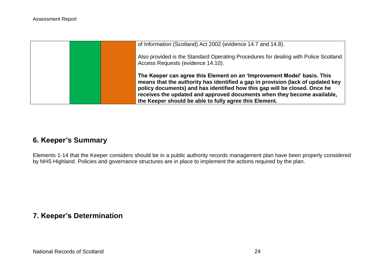|  | of Information (Scotland) Act 2002 (evidence 14.7 and 14.8).                                                                                                                                                                                                                                                                                                                 |
|--|------------------------------------------------------------------------------------------------------------------------------------------------------------------------------------------------------------------------------------------------------------------------------------------------------------------------------------------------------------------------------|
|  | Also provided is the Standard Operating Procedures for dealing with Police Scotland<br>Access Requests (evidence 14.10).                                                                                                                                                                                                                                                     |
|  | The Keeper can agree this Element on an 'Improvement Model' basis. This<br>means that the authority has identified a gap in provision (lack of updated key<br>policy documents) and has identified how this gap will be closed. Once he<br>receives the updated and approved documents when they become available.<br>the Keeper should be able to fully agree this Element. |

# <span id="page-23-0"></span>**6. Keeper's Summary**

Elements 1-14 that the Keeper considers should be in a public authority records management plan have been properly considered by NHS Highland. Policies and governance structures are in place to implement the actions required by the plan.

## <span id="page-23-1"></span>**7. Keeper's Determination**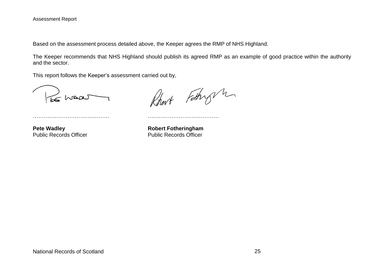Based on the assessment process detailed above, the Keeper agrees the RMP of NHS Highland.

The Keeper recommends that NHS Highland should publish its agreed RMP as an example of good practice within the authority and the sector.

This report follows the Keeper's assessment carried out by,

…………………………………… …………………………………

be waar

Rhart Fathry m

**Pete Wadley**<br> **Public Records Officer**<br> **Robert Fotheringham**<br> **Rublic Records Officer**<br> **Rublic Records Officer Public Records Officer**